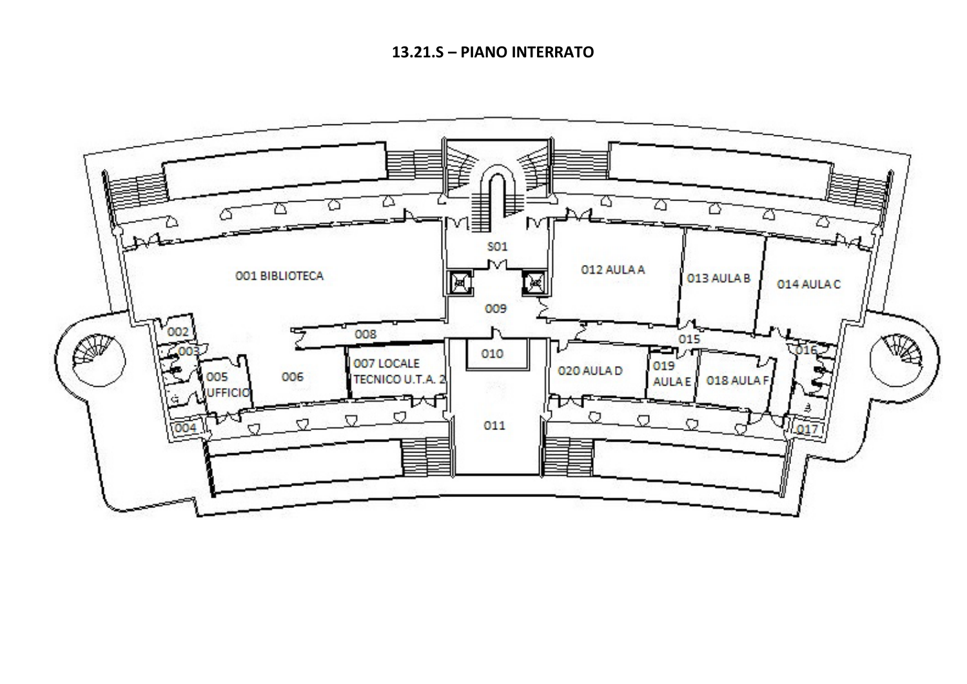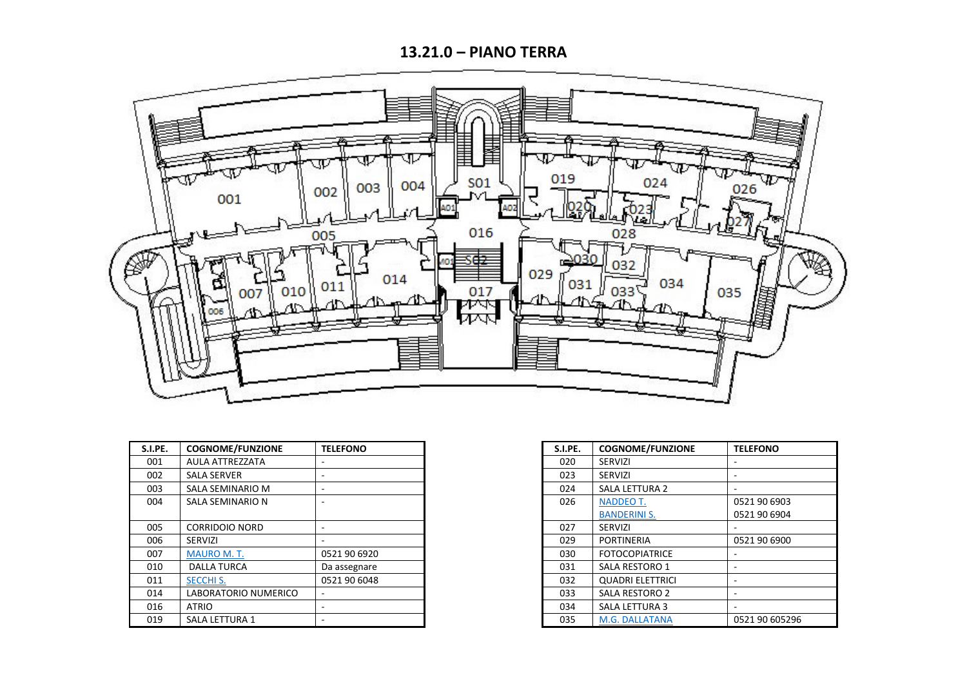**13.21.0 – PIANO TERRA**



| S.I.PE. | <b>COGNOME/FUNZIONE</b> | <b>TELEFONO</b> | S.I.PE. | <b>COGNOME/FUNZIONE</b> | <b>TELEFONO</b> |
|---------|-------------------------|-----------------|---------|-------------------------|-----------------|
| 001     | AULA ATTREZZATA         |                 | 020     | <b>SERVIZI</b>          |                 |
| 002     | <b>SALA SERVER</b>      |                 | 023     | <b>SERVIZI</b>          |                 |
| 003     | SALA SEMINARIO M        |                 | 024     | <b>SALA LETTURA 2</b>   |                 |
| 004     | SALA SEMINARIO N        |                 | 026     | NADDEO T.               | 0521 90 6903    |
|         |                         |                 |         | <b>BANDERINI S.</b>     | 0521 90 6904    |
| 005     | CORRIDOIO NORD          |                 | 027     | SERVIZI                 |                 |
| 006     | <b>SERVIZI</b>          |                 | 029     | <b>PORTINERIA</b>       | 0521 90 6900    |
| 007     | <b>MAURO M.T.</b>       | 0521 90 6920    | 030     | <b>FOTOCOPIATRICE</b>   |                 |
| 010     | <b>DALLA TURCA</b>      | Da assegnare    | 031     | SALA RESTORO 1          |                 |
| 011     | <b>SECCHI S.</b>        | 0521 90 6048    | 032     | <b>QUADRI ELETTRICI</b> |                 |
| 014     | LABORATORIO NUMERICO    |                 | 033     | <b>SALA RESTORO 2</b>   |                 |
| 016     | ATRIO                   |                 | 034     | <b>SALA LETTURA 3</b>   |                 |
| 019     | <b>SALA LETTURA 1</b>   |                 | 035     | M.G. DALLATANA          | 0521 90 605296  |

| S.I.PE. | <b>COGNOME/FUNZIONE</b> | <b>TELEFONO</b> |
|---------|-------------------------|-----------------|
| 020     | <b>SERVIZI</b>          |                 |
| 023     | <b>SERVIZI</b>          |                 |
| 024     | <b>SALA LETTURA 2</b>   |                 |
| 026     | <b>NADDEO T.</b>        | 0521 90 6903    |
|         | <b>BANDERINI S.</b>     | 0521 90 6904    |
| 027     | <b>SERVIZI</b>          |                 |
| 029     | <b>PORTINERIA</b>       | 0521 90 6900    |
| 030     | <b>FOTOCOPIATRICE</b>   |                 |
| 031     | <b>SALA RESTORO 1</b>   |                 |
| 032     | <b>QUADRI ELETTRICI</b> |                 |
| 033     | SALA RESTORO 2          |                 |
| 034     | <b>SALA LETTURA 3</b>   |                 |
| 035     | M.G. DALLATANA          | 0521 90 605296  |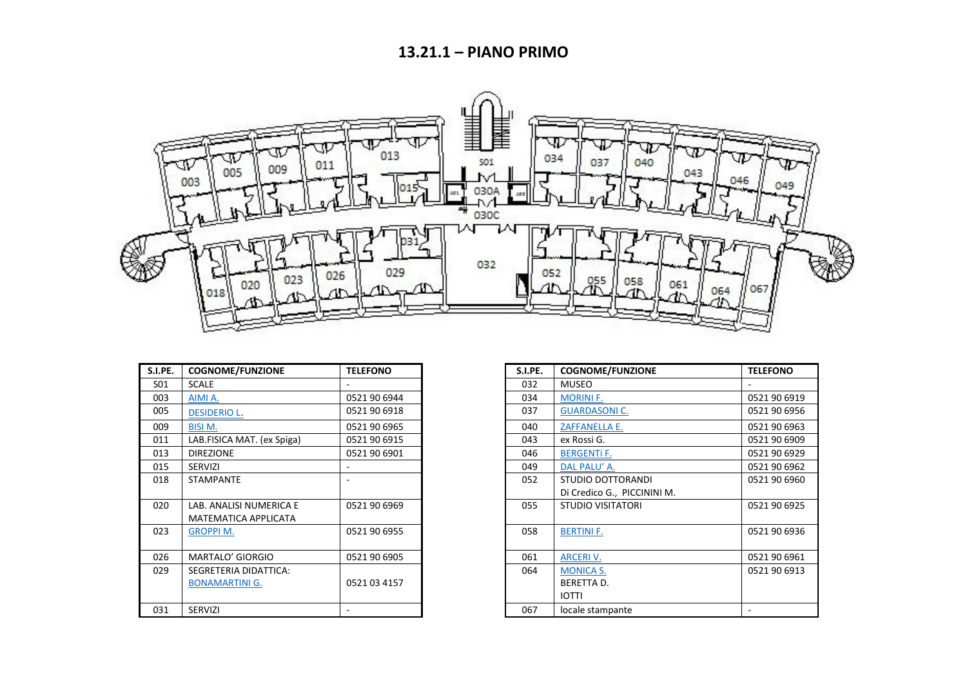

| S.I.PE. | <b>COGNOME/FUNZIONE</b>    | <b>TELEFONO</b> | S.I.PE. | <b>COGNOME/FUNZIONE</b>     |  |
|---------|----------------------------|-----------------|---------|-----------------------------|--|
| S01     | <b>SCALE</b>               |                 | 032     | <b>MUSEO</b>                |  |
| 003     | AIMI A.                    | 0521 90 6944    | 034     | <b>MORINI F.</b>            |  |
| 005     | <b>DESIDERIO L.</b>        | 0521 90 6918    | 037     | <b>GUARDASONIC.</b>         |  |
| 009     | <b>BISI M.</b>             | 0521 90 6965    | 040     | <b>ZAFFANELLA E.</b>        |  |
| 011     | LAB.FISICA MAT. (ex Spiga) | 0521 90 6915    | 043     | ex Rossi G.                 |  |
| 013     | <b>DIREZIONE</b>           | 0521 90 6901    | 046     | <b>BERGENTI F.</b>          |  |
| 015     | <b>SERVIZI</b>             |                 | 049     | DAL PALU' A.                |  |
| 018     | <b>STAMPANTE</b>           |                 | 052     | STUDIO DOTTORANDI           |  |
|         |                            |                 |         | Di Credico G., PICCININI M. |  |
| 020     | LAB. ANALISI NUMERICA E    | 0521 90 6969    | 055     | <b>STUDIO VISITATORI</b>    |  |
|         | MATEMATICA APPLICATA       |                 |         |                             |  |
| 023     | <b>GROPPI M.</b>           | 0521 90 6955    | 058     | <b>BERTINI F.</b>           |  |
|         |                            |                 |         |                             |  |
| 026     | MARTALO' GIORGIO           | 0521 90 6905    | 061     | <b>ARCERI V.</b>            |  |
| 029     | SEGRETERIA DIDATTICA:      |                 | 064     | <b>MONICA S.</b>            |  |
|         | <b>BONAMARTINI G.</b>      | 0521 03 4157    |         | <b>BERETTA D.</b>           |  |
|         |                            |                 |         | <b>IOTTI</b>                |  |
| 031     | <b>SERVIZI</b>             |                 | 067     | locale stampante            |  |

| S.I.PE. | <b>COGNOME/FUNZIONE</b>    | <b>TELEFONO</b> | S.I.PE. | <b>COGNOME/FUNZIONE</b>     | <b>TELEFONO</b> |
|---------|----------------------------|-----------------|---------|-----------------------------|-----------------|
| S01     | <b>SCALE</b>               |                 | 032     | <b>MUSEO</b>                |                 |
| 003     | AIMI A.                    | 0521 90 6944    | 034     | <b>MORINI F.</b>            | 0521 90 6919    |
| 005     | <b>DESIDERIO L.</b>        | 0521 90 6918    | 037     | <b>GUARDASONIC.</b>         | 0521 90 6956    |
| 009     | <b>BISIM.</b>              | 0521 90 6965    | 040     | <b>ZAFFANELLA E.</b>        | 0521 90 6963    |
| 011     | LAB.FISICA MAT. (ex Spiga) | 0521 90 6915    | 043     | ex Rossi G.                 | 0521 90 6909    |
| 013     | <b>DIREZIONE</b>           | 0521 90 6901    | 046     | <b>BERGENTI F.</b>          | 0521 90 6929    |
| 015     | <b>SERVIZI</b>             |                 | 049     | DAL PALU' A.                | 0521 90 6962    |
| 018     | <b>STAMPANTE</b>           |                 | 052     | STUDIO DOTTORANDI           | 0521 90 6960    |
|         |                            |                 |         | Di Credico G., PICCININI M. |                 |
| 020     | LAB. ANALISI NUMERICA E    | 0521 90 6969    | 055     | <b>STUDIO VISITATORI</b>    | 0521 90 6925    |
|         | MATEMATICA APPLICATA       |                 |         |                             |                 |
| 023     | <b>GROPPIM.</b>            | 0521 90 6955    | 058     | <b>BERTINI F.</b>           | 0521 90 6936    |
|         |                            |                 |         |                             |                 |
| 026     | MARTALO' GIORGIO           | 0521 90 6905    | 061     | <b>ARCERI V.</b>            | 0521 90 6961    |
| 029     | SEGRETERIA DIDATTICA:      |                 | 064     | <b>MONICA S.</b>            | 0521 90 6913    |
|         | <b>BONAMARTINI G.</b>      | 0521 03 4157    |         | <b>BERETTA D.</b>           |                 |
|         |                            |                 |         | <b>IOTTI</b>                |                 |
| 031     | SERVIZI                    |                 | 067     | locale stampante            |                 |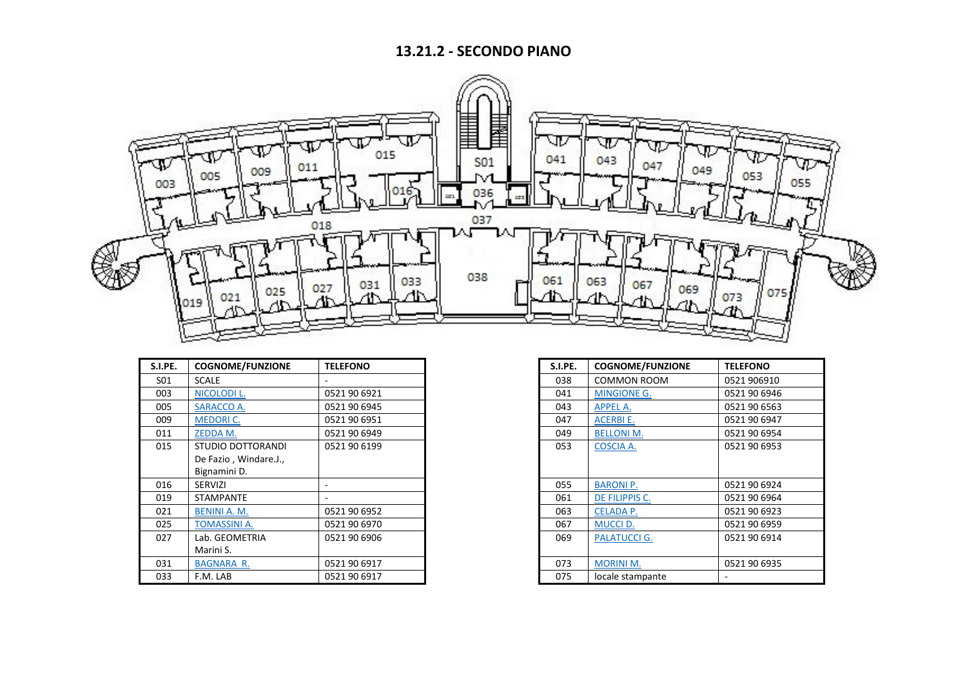## **13.21.2 - SECONDO PIANO**



| S.I.PE. | <b>COGNOME/FUNZIONE</b> | <b>TELEFONO</b> | S.I.PE. | <b>COGNOME/FUNZIONE</b> | <b>TELEFONO</b> |
|---------|-------------------------|-----------------|---------|-------------------------|-----------------|
| S01     | <b>SCALE</b>            |                 | 038     | <b>COMMON ROOM</b>      | 0521 906910     |
| 003     | NICOLODI L.             | 0521 90 6921    | 041     | <b>MINGIONE G.</b>      | 0521 90 6946    |
| 005     | SARACCO A.              | 0521 90 6945    | 043     | <b>APPEL A.</b>         | 0521 90 6563    |
| 009     | <b>MEDORIC.</b>         | 0521 90 6951    | 047     | <b>ACERBIE.</b>         | 0521 90 6947    |
| 011     | ZEDDA M.                | 0521 90 6949    | 049     | <b>BELLONI M.</b>       | 0521 90 6954    |
| 015     | STUDIO DOTTORANDI       | 0521 90 6199    | 053     | <b>COSCIA A.</b>        | 0521 90 6953    |
|         | De Fazio, Windare.J.,   |                 |         |                         |                 |
|         | Bignamini D.            |                 |         |                         |                 |
| 016     | SERVIZI                 |                 | 055     | <b>BARONIP.</b>         | 0521 90 6924    |
| 019     | <b>STAMPANTE</b>        |                 | 061     | DE FILIPPIS C.          | 0521 90 6964    |
| 021     | BENINI A. M.            | 0521 90 6952    | 063     | <b>CELADA P.</b>        | 0521 90 6923    |
| 025     | <b>TOMASSINI A.</b>     | 0521 90 6970    | 067     | <b>MUCCI D.</b>         | 0521 90 6959    |
| 027     | Lab. GEOMETRIA          | 0521 90 6906    | 069     | <b>PALATUCCI G.</b>     | 0521 90 6914    |
|         | Marini S.               |                 |         |                         |                 |
| 031     | <b>BAGNARA R.</b>       | 0521 90 6917    | 073     | <b>MORINI M.</b>        | 0521 90 6935    |
| 033     | F.M. LAB                | 0521 90 6917    | 075     | locale stampante        |                 |

| <b>TELEFONO</b> | S.I.PE. | <b>COGNOME/FUNZIONE</b> | <b>TELEFONO</b> |
|-----------------|---------|-------------------------|-----------------|
|                 | 038     | <b>COMMON ROOM</b>      | 0521 906910     |
| 0521 90 6921    | 041     | <b>MINGIONE G.</b>      | 0521 90 6946    |
| 0521 90 6945    | 043     | <b>APPEL A.</b>         | 0521 90 6563    |
| 0521 90 6951    | 047     | ACERBIE.                | 0521 90 6947    |
| 0521 90 6949    | 049     | <b>BELLONI M.</b>       | 0521 90 6954    |
| 0521 90 6199    | 053     | COSCIA A.               | 0521 90 6953    |
|                 |         |                         |                 |
|                 |         |                         |                 |
|                 | 055     | <b>BARONI P.</b>        | 0521 90 6924    |
|                 | 061     | DE FILIPPIS C.          | 0521 90 6964    |
| 0521 90 6952    | 063     | <b>CELADA P.</b>        | 0521 90 6923    |
| 0521 90 6970    | 067     | <b>MUCCI D.</b>         | 0521 90 6959    |
| 0521 90 6906    | 069     | <b>PALATUCCI G.</b>     | 0521 90 6914    |
|                 |         |                         |                 |
| 0521 90 6917    | 073     | <b>MORINI M.</b>        | 0521 90 6935    |
| 0521 90 6917    | 075     | locale stampante        |                 |